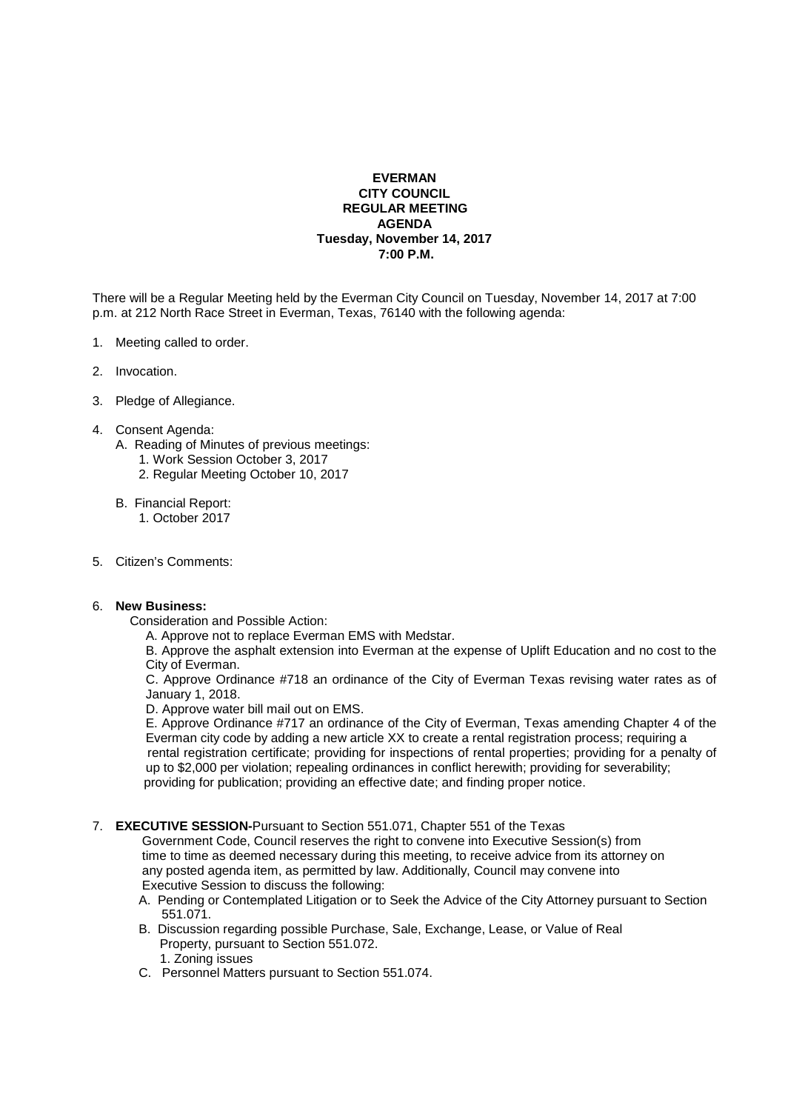## **EVERMAN CITY COUNCIL REGULAR MEETING AGENDA Tuesday, November 14, 2017 7:00 P.M.**

There will be a Regular Meeting held by the Everman City Council on Tuesday, November 14, 2017 at 7:00 p.m. at 212 North Race Street in Everman, Texas, 76140 with the following agenda:

- 1. Meeting called to order.
- 2. Invocation.
- 3. Pledge of Allegiance.
- 4. Consent Agenda:
	- A. Reading of Minutes of previous meetings:
		- 1. Work Session October 3, 2017
		- 2. Regular Meeting October 10, 2017
	- B. Financial Report:
		- 1. October 2017
- 5. Citizen's Comments:

## 6. **New Business:**

- Consideration and Possible Action:
	- A. Approve not to replace Everman EMS with Medstar.

 B. Approve the asphalt extension into Everman at the expense of Uplift Education and no cost to the City of Everman.

 C. Approve Ordinance #718 an ordinance of the City of Everman Texas revising water rates as of January 1, 2018.

D. Approve water bill mail out on EMS.

 E. Approve Ordinance #717 an ordinance of the City of Everman, Texas amending Chapter 4 of the Everman city code by adding a new article XX to create a rental registration process; requiring a rental registration certificate; providing for inspections of rental properties; providing for a penalty of up to \$2,000 per violation; repealing ordinances in conflict herewith; providing for severability; providing for publication; providing an effective date; and finding proper notice.

7. **EXECUTIVE SESSION-**Pursuant to Section 551.071, Chapter 551 of the Texas

 Government Code, Council reserves the right to convene into Executive Session(s) from time to time as deemed necessary during this meeting, to receive advice from its attorney on any posted agenda item, as permitted by law. Additionally, Council may convene into Executive Session to discuss the following:

- A. Pending or Contemplated Litigation or to Seek the Advice of the City Attorney pursuant to Section 551.071.
- B. Discussion regarding possible Purchase, Sale, Exchange, Lease, or Value of Real Property, pursuant to Section 551.072. 1. Zoning issues
- C. Personnel Matters pursuant to Section 551.074.